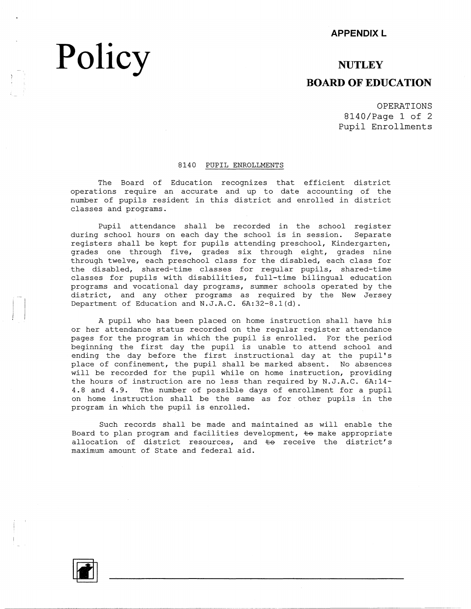#### **APPENDIX L**

### **NUTLEY BOARD OF EDUCATION**

OPERATIONS 8140/Page 1 of 2 Pupil Enrollments

#### 8140 PUPIL ENROLLMENTS

The Board of Education recognizes that efficient district operations require an accurate and up to date accounting of the number of pupils resident in this district and enrolled in district classes and programs.

Pupil attendance shall be recorded in the school register during school hours on each day the school is in session. Separate registers shall be kept for pupils attending preschool, Kindergarten, grades one through five, grades six through eight, grades nine through twelve, each preschool class for the disabled, each class for the disabled, shared-time classes for regular pupils, shared-time classes for pupils with disabilities, full-time bilingual education programs and vocational day programs, summer schools operated by the district, and any other programs as required by the New Jersey Department of Education and N.J.A.C. 6A:32-8.l(d).

A pupil who has been placed on home instruction shall have his or her attendance status recorded on the regular register attendance pages for the program in which the pupil is enrolled. For the period beginning the first day the pupil is unable to attend school and ending the day before the first instructional day at the pupil's place of confinement, the pupil shall be marked absent. No absences will be recorded for the pupil while on home instruction, providing the hours of instruction are no less than required by N.J.A.C. 6A:14- 4.8 and 4.9. The number of possible days of enrollment for a pupil on home instruction shall be the same as for other pupils in the program in which the pupil is enrolled.

Such records shall be made and maintained as will enable the Board to plan program and facilities development,  $\pm$ o make appropriate allocation of district resources, and  $\pm$ o receive the district's maximum amount of State and federal aid.



**Policy**